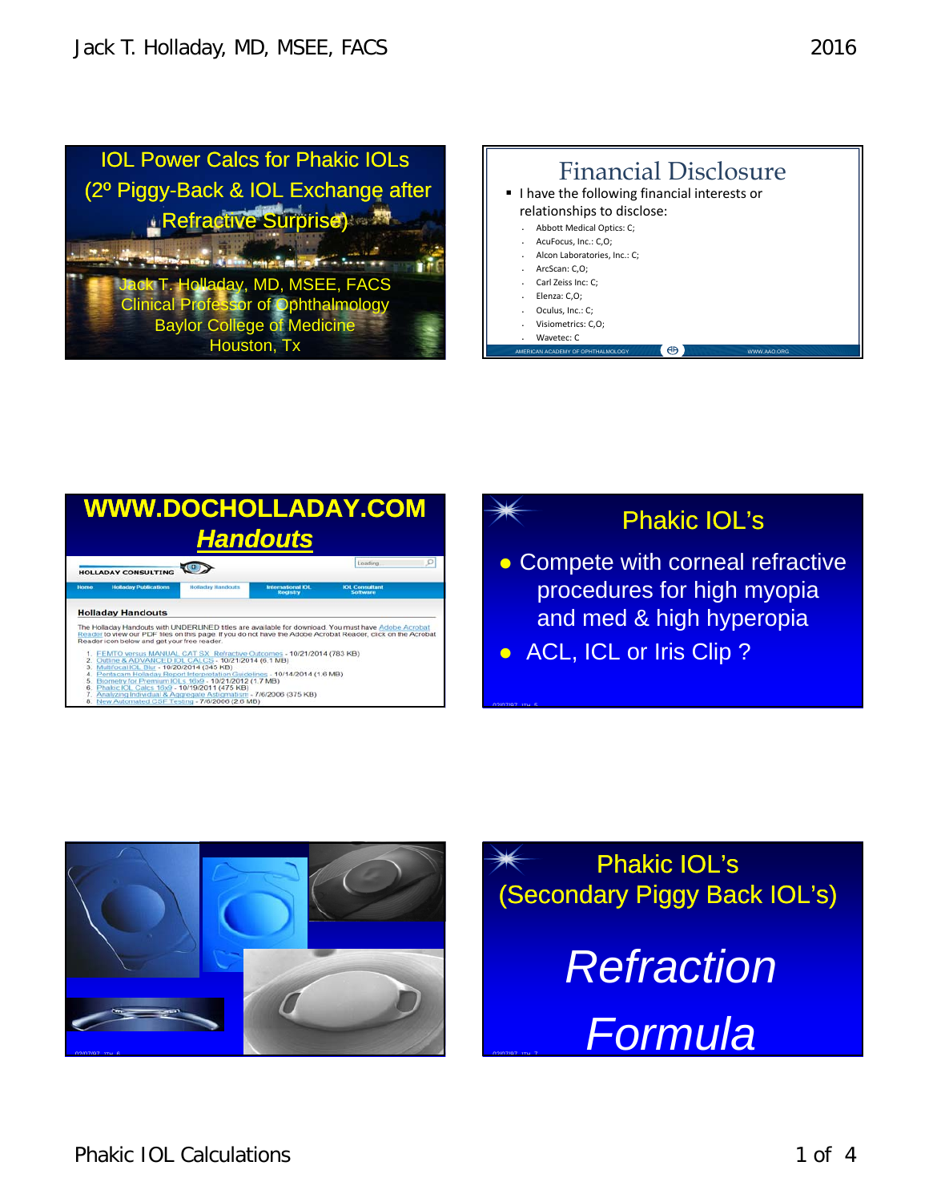



#### **WWW.DOCHOLLADAY.COM** *Handouts* HOLLADAY CONSULTING **Holladay Handouts** The Holladay Handouts with UNDERLINED titles are available for download. You must have A<u>dobe Acrobat</u><br>Reader to view our PDF files on this page. If you do not have the Adobe Acrobat Reader, click on the Acrobat<br>Reader ico MTO versus MANUAL CAT SX. Refractive Outcomes - 10/21/2014 (783 KB)<br>time & ADVANCED IOL CALCS - 10/21/2014 (6.1 MB)<br>tificcal IOL Blur - 10/20/2014 (345 KB)<br>riacam Holladay Report Interpretation Guidelines - 10/14/2014 (1.6 <u>l. Blu</u>r - 10/20/2014 (345 KB)<br><u>olladay Report Interpretation Guidelines</u> - 10/14/2014 (1.6 MB)<br><u>Premium IOLs 16x9</u> - 10/21/2012 (1.7 MB)<br><mark>Calcs 16x9 - 10/19/2011 (475 KB)</mark> 10/19/2011 (475 KB)<br>pregate Astigmatism - 7/6/2006 (375 KB)<br>sting - 7/6/2006 (2.6 MB)

## Phakic IOL's

- Compete with corneal refractive procedures for high myopia and med & high hyperopia
- ACL, ICL or Iris Clip?

02/07/07 JTH 5



Phakic IOL's (Secondary Piggy Back IOL's) *Refraction Formula*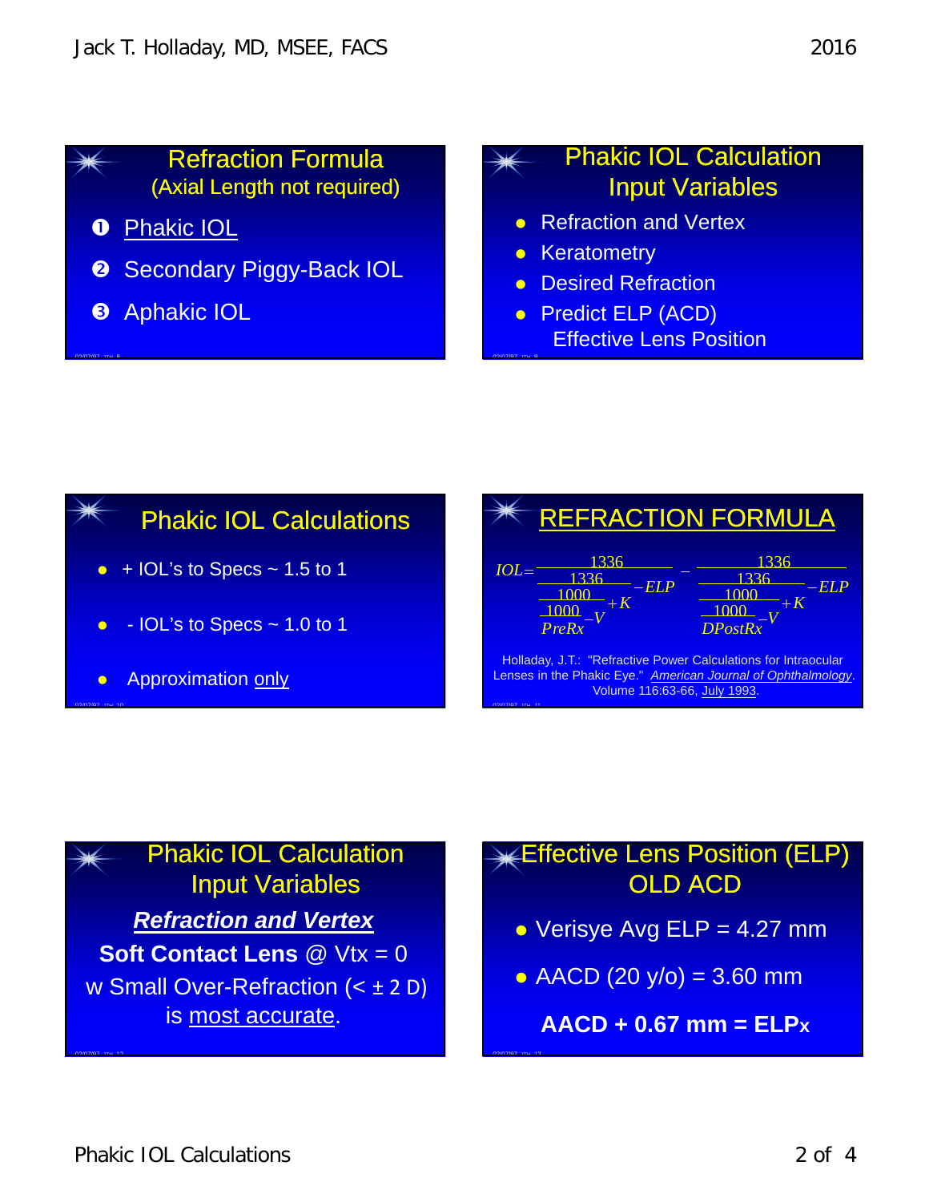#### Refraction Formula (Axial Length not required)

- **O** Phakic IOL
- **8** Secondary Piggy-Back IOL
- **8** Aphakic IOL

02/07/07 JTH 8

10*2/07/07 דם* 10

02/07/07 JTH 12

### Phakic IOL Calculation Input Variables

- Refraction and Vertex
- Keratometry

02/07/07 JTH 9

02/07/07 JTH 13

- Desired Refraction
- Predict ELP (ACD) Effective Lens Position

# Phakic IOL Calculations  $\bullet$  + IOL's to Specs  $\sim$  1.5 to 1 - IOL's to Specs ~ 1.0 to 1 Approximation only



# Phakic IOL Calculation Input Variables *Refraction and Vertex* **Soft Contact Lens** @ Vtx = 0 w Small Over-Refraction (< ± 2 D) is most accurate.

### Effective Lens Position (ELP) OLD ACD

- Verisye Avg ELP = 4.27 mm
- AACD  $(20 y/o) = 3.60 mm$

**AACD + 0.67 mm = ELPx**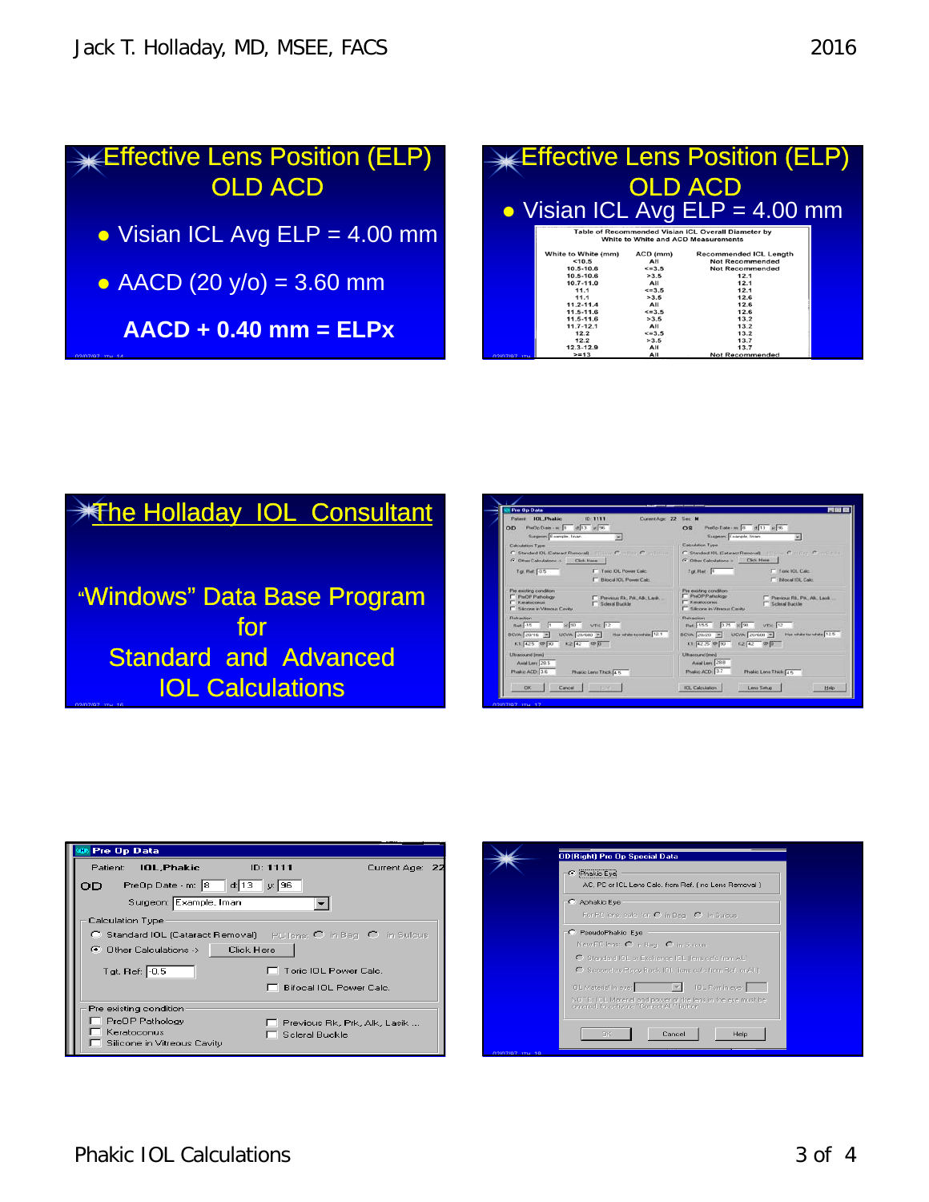**Effective Lens Position (ELP)** OLD ACD

- $\bullet$  Visian ICL Avg ELP = 4.00 mm
- AACD  $(20 y/o) = 3.60 mm$

02/07/07 JTH 14

02/07/07 JTH 16

**AACD + 0.40 mm = ELPx**

| ∉Effective Lens Position (ELP)<br><b>OLD ACD</b><br>• Visian ICL Avg ELP = 4.00 mm         |                                                                                                                                                                                                          |                                                                                                                                               |                                                                                                                                                                                |  |  |  |  |  |
|--------------------------------------------------------------------------------------------|----------------------------------------------------------------------------------------------------------------------------------------------------------------------------------------------------------|-----------------------------------------------------------------------------------------------------------------------------------------------|--------------------------------------------------------------------------------------------------------------------------------------------------------------------------------|--|--|--|--|--|
| Table of Recommended Visian ICL Overall Diameter by<br>White to White and ACD Measurements |                                                                                                                                                                                                          |                                                                                                                                               |                                                                                                                                                                                |  |  |  |  |  |
| 02/07/07 mil                                                                               | White to White (mm)<br>< 10.5<br>10.5-10.6<br>$10.5 - 10.6$<br>10.7-11.0<br>11.1<br>11.1<br>$11.2 - 11.4$<br>$11.5 - 11.6$<br>$11.5 - 11.6$<br>$11.7 - 12.1$<br>12.2<br>12.2<br>$12.3 - 12.9$<br>$>= 13$ | ACD (mm)<br>All<br>$\leq 3.5$<br>>3.5<br>AII<br>$\leq 3.5$<br>>3.5<br>AII<br>$\leq$ = 3.5<br>>3.5<br>AII<br>$\leq$ =3.5<br>>3.5<br>AII<br>All | <b>Recommended ICL Length</b><br>Not Recommended<br>Not Recommended<br>12.1<br>12.1<br>12.1<br>12.6<br>12.6<br>12.6<br>13.2<br>13.2<br>13.2<br>13.7<br>13.7<br>Not Recommended |  |  |  |  |  |

# **X**The Holladay IOL Consultant "Windows" Data Base Program for

Standard and Advanced IOL Calculations

| <b>Pre Op Data</b>                                                                                                                                                                  | PIB                                                                                                                                                                       |
|-------------------------------------------------------------------------------------------------------------------------------------------------------------------------------------|---------------------------------------------------------------------------------------------------------------------------------------------------------------------------|
| Patient: 101 Phokin<br><b>ID: 1111</b><br>Current Age: 22 Sex: M<br>PreOp Date - m: 3 d: 13 y: 36<br>OD<br>Surgeon: Example, Iman                                                   | PreOp Date - m: 0 d 13 y 96<br>OS<br>Surgeon: Example, Iman                                                                                                               |
| Calculation Type:                                                                                                                                                                   | <b>Calculation Type</b>                                                                                                                                                   |
| C Standard IOL (Cataract Removal) Filling: C in Films C and Chang                                                                                                                   | C Standard IDL (Cataract Removal) (Chevrolet Constitution Constitution                                                                                                    |
| G Other Calculations -> Click Here                                                                                                                                                  | G Other Calculations -> Click Here                                                                                                                                        |
| Tgt. Ret: 0.5<br><b>F</b> Toro JOL Power Calc                                                                                                                                       | Tot Ret<br>T" Toric IOL Calc.                                                                                                                                             |
| <b>F</b> Brocal IOL Power Calc.                                                                                                                                                     | F Bilocal IOL Calc                                                                                                                                                        |
| Fire existing condition<br><b>F</b> PaOP Pathology<br>IT Previous Rk, Prk, Alk, Lask<br><b>C. Keratonoman</b><br><b>Citizen of Burdeler</b><br><b>F Silicone in Vitreous Cavity</b> | Pse existing condition<br><b>IT PheOP Pathology</b><br>F Previous Rk, Pd., All., Lask<br><b>F</b> Keywoodrass<br><b>F Scienal Buckle</b><br>E Silicone in Vitreaux Cavity |
| <b>Refraction</b><br>$18^{90}$ VDc $12$<br>Pat 15<br>$\mathbb{R}$                                                                                                                   | <b>Religion</b><br>Ref. 15.5 0.75 30 90 VDc 12                                                                                                                            |
| UCVA: 20/600 - Hor white to white: 12.1<br>BCVA: 20/16 =<br>K1 425 @ 90 K2 42 @ 0                                                                                                   | BEVA: 20/20 = UEVA 20/600 = Hor white-to-white 12.5<br>K1 4225 (8 90 K2 42 @ 0                                                                                            |
| <b>Ultrasoured Immit</b>                                                                                                                                                            | <b>Ultracound front</b>                                                                                                                                                   |
| AustLen 28.5                                                                                                                                                                        | Axial Lers 28.8                                                                                                                                                           |
| Phakio ACD: 16<br>Phakic Lens Thick [4.5]                                                                                                                                           | Phakic ACD: 3.7<br>Phokic Lens Thick (45                                                                                                                                  |
|                                                                                                                                                                                     |                                                                                                                                                                           |
| Cancel   ENV<br><b>OK:</b>                                                                                                                                                          | <b>JDL Calculation</b><br>Lena Setupi<br>Help <sup>1</sup>                                                                                                                |

02/07/07 JTH 17